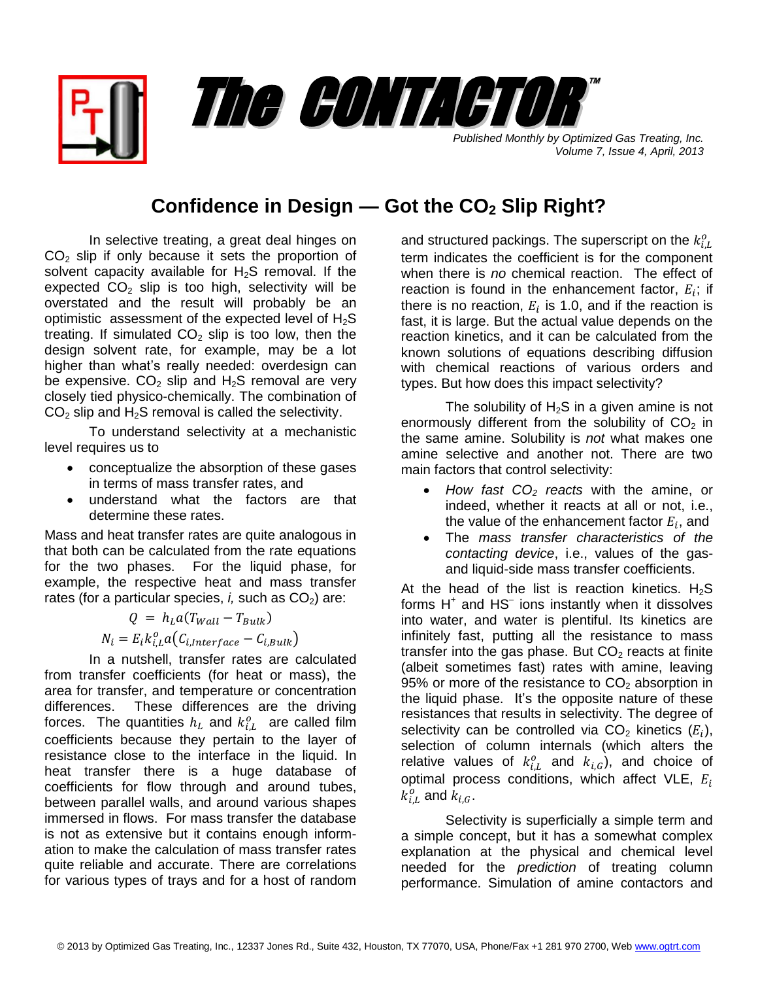*Published Monthly by Optimized Gas Treating, Inc. Volume 7, Issue 4, April, 2013*

## **Confidence in Design — Got the CO<sup>2</sup> Slip Right?**

The CONTACTOR ™

In selective treating, a great deal hinges on  $CO<sub>2</sub>$  slip if only because it sets the proportion of solvent capacity available for  $H_2S$  removal. If the expected  $CO<sub>2</sub>$  slip is too high, selectivity will be overstated and the result will probably be an optimistic assessment of the expected level of  $H_2S$ treating. If simulated  $CO<sub>2</sub>$  slip is too low, then the design solvent rate, for example, may be a lot higher than what's really needed: overdesign can be expensive.  $CO<sub>2</sub>$  slip and  $H<sub>2</sub>S$  removal are very closely tied physico-chemically. The combination of  $CO<sub>2</sub>$  slip and H<sub>2</sub>S removal is called the selectivity.

To understand selectivity at a mechanistic level requires us to

- conceptualize the absorption of these gases in terms of mass transfer rates, and
- understand what the factors are that determine these rates.

Mass and heat transfer rates are quite analogous in that both can be calculated from the rate equations for the two phases. For the liquid phase, for example, the respective heat and mass transfer rates (for a particular species,  $i$ , such as  $CO<sub>2</sub>$ ) are:

$$
Q = h_L a (T_{Wall} - T_{Bulk})
$$
  

$$
N_i = E_i k_{i,L}^o a (C_{i,Interface} - C_{i,Bulk})
$$

In a nutshell, transfer rates are calculated from transfer coefficients (for heat or mass), the area for transfer, and temperature or concentration differences. These differences are the driving forces. The quantities  $h_L$  and  $k_{LL}^o$  are called film coefficients because they pertain to the layer of resistance close to the interface in the liquid. In heat transfer there is a huge database of coefficients for flow through and around tubes, between parallel walls, and around various shapes immersed in flows. For mass transfer the database is not as extensive but it contains enough information to make the calculation of mass transfer rates quite reliable and accurate. There are correlations for various types of trays and for a host of random

and structured packings. The superscript on the  $k_{iL}^o$ term indicates the coefficient is for the component when there is *no* chemical reaction. The effect of reaction is found in the enhancement factor,  $E_i$ ; if there is no reaction,  $E_i$  is 1.0, and if the reaction is fast, it is large. But the actual value depends on the reaction kinetics, and it can be calculated from the known solutions of equations describing diffusion with chemical reactions of various orders and types. But how does this impact selectivity?

The solubility of  $H_2S$  in a given amine is not enormously different from the solubility of  $CO<sub>2</sub>$  in the same amine. Solubility is *not* what makes one amine selective and another not. There are two main factors that control selectivity:

- *How fast CO<sup>2</sup> reacts* with the amine, or indeed, whether it reacts at all or not, i.e., the value of the enhancement factor  $E_i$ , and
- The *mass transfer characteristics of the contacting device*, i.e., values of the gasand liquid-side mass transfer coefficients.

At the head of the list is reaction kinetics.  $H_2S$ forms  $H^+$  and  $HS^-$  ions instantly when it dissolves into water, and water is plentiful. Its kinetics are infinitely fast, putting all the resistance to mass transfer into the gas phase. But  $CO<sub>2</sub>$  reacts at finite (albeit sometimes fast) rates with amine, leaving 95% or more of the resistance to  $CO<sub>2</sub>$  absorption in the liquid phase. It's the opposite nature of these resistances that results in selectivity. The degree of selectivity can be controlled via CO<sub>2</sub> kinetics  $(E_i)$ , selection of column internals (which alters the relative values of  $k_{iL}^o$  and  $k_{iG}$ ), and choice of optimal process conditions, which affect VLE,  $E_i$  $k_{iL}^o$  and  $k_{i,G}$ .

Selectivity is superficially a simple term and a simple concept, but it has a somewhat complex explanation at the physical and chemical level needed for the *prediction* of treating column performance. Simulation of amine contactors and